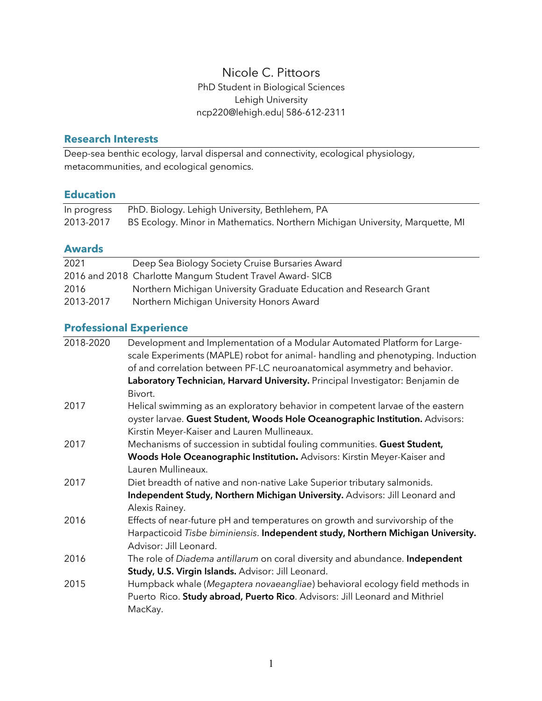### Nicole C. Pittoors PhD Student in Biological Sciences Lehigh University ncp220@lehigh.edu| 586-612-2311

#### **Research Interests**

Deep-sea benthic ecology, larval dispersal and connectivity, ecological physiology, metacommunities, and ecological genomics.

### **Education**

| In progress | PhD. Biology. Lehigh University, Bethlehem, PA                                |
|-------------|-------------------------------------------------------------------------------|
| 2013-2017   | BS Ecology. Minor in Mathematics. Northern Michigan University, Marquette, MI |

#### **Awards**

| 2021      | Deep Sea Biology Society Cruise Bursaries Award                    |
|-----------|--------------------------------------------------------------------|
|           | 2016 and 2018 Charlotte Mangum Student Travel Award-SICB           |
| 2016      | Northern Michigan University Graduate Education and Research Grant |
| 2013-2017 | Northern Michigan University Honors Award                          |

# **Professional Experience**

| Development and Implementation of a Modular Automated Platform for Large-        |
|----------------------------------------------------------------------------------|
| scale Experiments (MAPLE) robot for animal-handling and phenotyping. Induction   |
| of and correlation between PF-LC neuroanatomical asymmetry and behavior.         |
| Laboratory Technician, Harvard University. Principal Investigator: Benjamin de   |
| Bivort.                                                                          |
| Helical swimming as an exploratory behavior in competent larvae of the eastern   |
| oyster larvae. Guest Student, Woods Hole Oceanographic Institution. Advisors:    |
| Kirstin Meyer-Kaiser and Lauren Mullineaux.                                      |
| Mechanisms of succession in subtidal fouling communities. Guest Student,         |
| Woods Hole Oceanographic Institution. Advisors: Kirstin Meyer-Kaiser and         |
| Lauren Mullineaux.                                                               |
| Diet breadth of native and non-native Lake Superior tributary salmonids.         |
| Independent Study, Northern Michigan University. Advisors: Jill Leonard and      |
| Alexis Rainey.                                                                   |
| Effects of near-future pH and temperatures on growth and survivorship of the     |
| Harpacticoid Tisbe biminiensis. Independent study, Northern Michigan University. |
| Advisor: Jill Leonard.                                                           |
| The role of Diadema antillarum on coral diversity and abundance. Independent     |
| Study, U.S. Virgin Islands. Advisor: Jill Leonard.                               |
| Humpback whale (Megaptera novaeangliae) behavioral ecology field methods in      |
| Puerto Rico. Study abroad, Puerto Rico. Advisors: Jill Leonard and Mithriel      |
| MacKay.                                                                          |
|                                                                                  |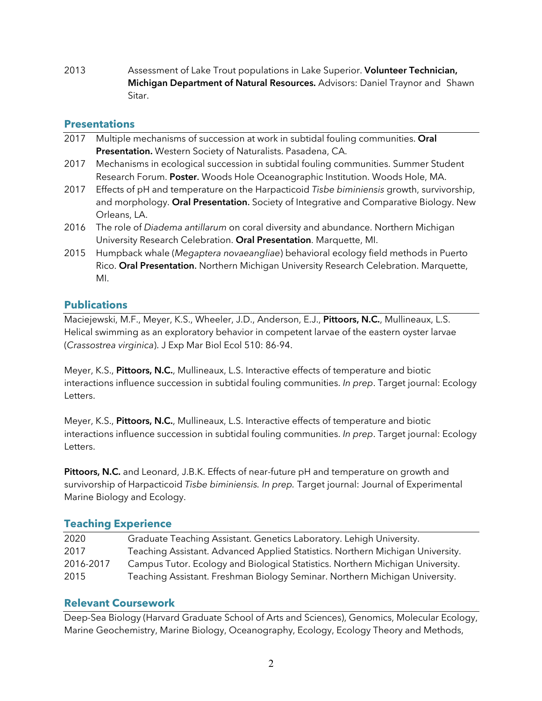2013 Assessment of Lake Trout populations in Lake Superior. **Volunteer Technician, Michigan Department of Natural Resources.** Advisors: Daniel Traynor and Shawn Sitar.

### **Presentations**

- 2017 Multiple mechanisms of succession at work in subtidal fouling communities. **Oral Presentation.** Western Society of Naturalists. Pasadena, CA.
- 2017 Mechanisms in ecological succession in subtidal fouling communities. Summer Student Research Forum. **Poster**. Woods Hole Oceanographic Institution. Woods Hole, MA.
- 2017 Effects of pH and temperature on the Harpacticoid *Tisbe biminiensis* growth, survivorship, and morphology. **Oral Presentation**. Society of Integrative and Comparative Biology. New Orleans, LA.
- 2016 The role of *Diadema antillarum* on coral diversity and abundance. Northern Michigan University Research Celebration. **Oral Presentation**. Marquette, MI.
- 2015 Humpback whale (*Megaptera novaeangliae*) behavioral ecology field methods in Puerto Rico. **Oral Presentation**. Northern Michigan University Research Celebration. Marquette, MI.

### **Publications**

Maciejewski, M.F., Meyer, K.S., Wheeler, J.D., Anderson, E.J., **Pittoors, N.C.**, Mullineaux, L.S. Helical swimming as an exploratory behavior in competent larvae of the eastern oyster larvae (*Crassostrea virginica*). J Exp Mar Biol Ecol 510: 86-94.

Meyer, K.S., **Pittoors, N.C.**, Mullineaux, L.S. Interactive effects of temperature and biotic interactions influence succession in subtidal fouling communities. *In prep*. Target journal: Ecology Letters.

Meyer, K.S., **Pittoors, N.C.**, Mullineaux, L.S. Interactive effects of temperature and biotic interactions influence succession in subtidal fouling communities. *In prep*. Target journal: Ecology Letters.

**Pittoors, N.C.** and Leonard, J.B.K. Effects of near-future pH and temperature on growth and survivorship of Harpacticoid *Tisbe biminiensis. In prep.* Target journal: Journal of Experimental Marine Biology and Ecology.

### **Teaching Experience**

| 2020      | Graduate Teaching Assistant. Genetics Laboratory. Lehigh University.           |
|-----------|--------------------------------------------------------------------------------|
| 2017      | Teaching Assistant. Advanced Applied Statistics. Northern Michigan University. |
| 2016-2017 | Campus Tutor. Ecology and Biological Statistics. Northern Michigan University. |
| 2015      | Teaching Assistant. Freshman Biology Seminar. Northern Michigan University.    |

### **Relevant Coursework**

Deep-Sea Biology (Harvard Graduate School of Arts and Sciences), Genomics, Molecular Ecology, Marine Geochemistry, Marine Biology, Oceanography, Ecology, Ecology Theory and Methods,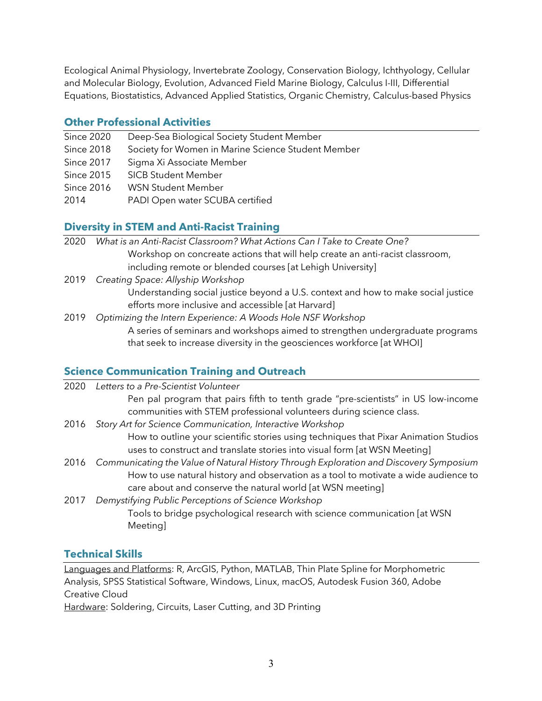Ecological Animal Physiology, Invertebrate Zoology, Conservation Biology, Ichthyology, Cellular and Molecular Biology, Evolution, Advanced Field Marine Biology, Calculus I-III, Differential Equations, Biostatistics, Advanced Applied Statistics, Organic Chemistry, Calculus-based Physics

#### **Other Professional Activities**

- Since 2020 Deep-Sea Biological Society Student Member
- Since 2018 Society for Women in Marine Science Student Member
- Since 2017 Sigma Xi Associate Member
- Since 2015 SICB Student Member
- Since 2016 WSN Student Member
- 2014 PADI Open water SCUBA certified

# **Diversity in STEM and Anti-Racist Training**

- 2020 *What is an Anti-Racist Classroom? What Actions Can I Take to Create One?* Workshop on concreate actions that will help create an anti-racist classroom, including remote or blended courses [at Lehigh University]
- 2019 *Creating Space: Allyship Workshop* Understanding social justice beyond a U.S. context and how to make social justice efforts more inclusive and accessible [at Harvard]
- 2019 *Optimizing the Intern Experience: A Woods Hole NSF Workshop* A series of seminars and workshops aimed to strengthen undergraduate programs that seek to increase diversity in the geosciences workforce [at WHOI]

# **Science Communication Training and Outreach**

| 2020 | Letters to a Pre-Scientist Volunteer                                                        |
|------|---------------------------------------------------------------------------------------------|
|      | Pen pal program that pairs fifth to tenth grade "pre-scientists" in US low-income           |
|      | communities with STEM professional volunteers during science class.                         |
| 2016 | Story Art for Science Communication, Interactive Workshop                                   |
|      | How to outline your scientific stories using techniques that Pixar Animation Studios        |
|      | uses to construct and translate stories into visual form [at WSN Meeting]                   |
|      | 2016 Communicating the Value of Natural History Through Exploration and Discovery Symposium |
|      | How to use natural history and observation as a tool to motivate a wide audience to         |
|      | care about and conserve the natural world [at WSN meeting]                                  |
| 2017 | Demystifying Public Perceptions of Science Workshop                                         |
|      | Tools to bridge psychological research with science communication [at WSN                   |
|      | Meeting]                                                                                    |
|      |                                                                                             |

# **Technical Skills**

Languages and Platforms: R, ArcGIS, Python, MATLAB, Thin Plate Spline for Morphometric Analysis, SPSS Statistical Software, Windows, Linux, macOS, Autodesk Fusion 360, Adobe Creative Cloud

Hardware: Soldering, Circuits, Laser Cutting, and 3D Printing